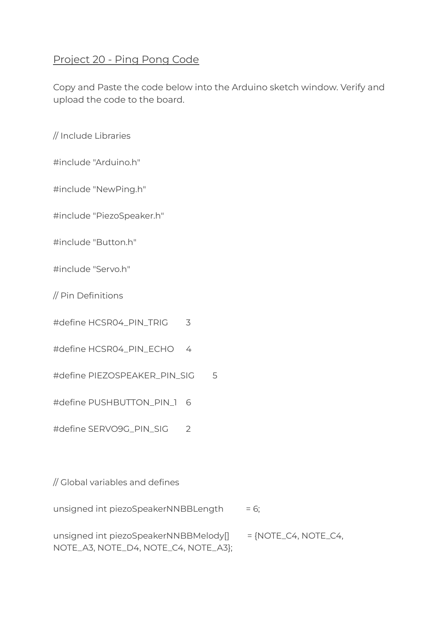## Project 20 - Ping Pong Code

Copy and Paste the code below into the Arduino sketch window. Verify and upload the code to the board.

// Include Libraries

#include "Arduino.h"

#include "NewPing.h"

#include "PiezoSpeaker.h"

#include "Button.h"

#include "Servo.h"

// Pin Definitions

#define HCSR04\_PIN\_TRIG 3

#define HCSR04\_PIN\_ECHO 4

#define PIEZOSPEAKER\_PIN\_SIG 5

#define PUSHBUTTON\_PIN\_1 6

#define SERVO9G\_PIN\_SIG 2

// Global variables and defines

unsigned int piezoSpeakerNNBBLength  $= 6;$ 

unsigned int piezoSpeakerNNBBMelody[] = {NOTE\_C4, NOTE\_C4, NOTE\_A3, NOTE\_D4, NOTE\_C4, NOTE\_A3};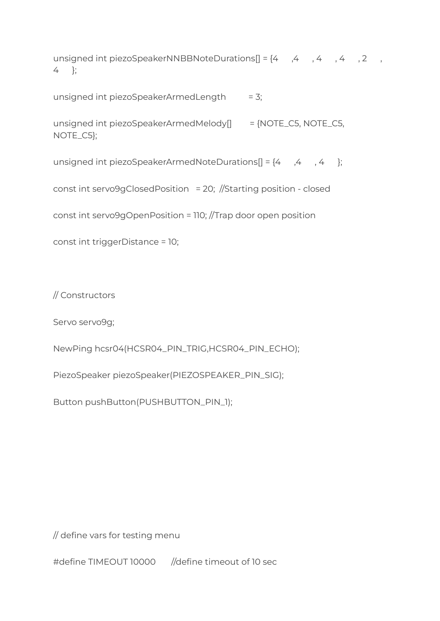unsigned int piezoSpeakerNNBBNoteDurations[] = {4 ,4 , 4 , 4 , 2 , 4 };

unsigned int piezoSpeakerArmedLength  $= 3$ ;

unsigned int piezoSpeakerArmedMelody[] = {NOTE\_C5, NOTE\_C5, NOTE\_C5};

unsigned int piezoSpeakerArmedNoteDurations[] = {4 ,4 , 4 };

const int servo9gClosedPosition = 20; //Starting position - closed

const int servo9gOpenPosition = 110; //Trap door open position

const int triggerDistance = 10;

// Constructors

Servo servo9g;

NewPing hcsr04(HCSR04\_PIN\_TRIG,HCSR04\_PIN\_ECHO);

PiezoSpeaker piezoSpeaker(PIEZOSPEAKER\_PIN\_SIG);

Button pushButton(PUSHBUTTON\_PIN\_1);

// define vars for testing menu

#define TIMEOUT 10000 //define timeout of 10 sec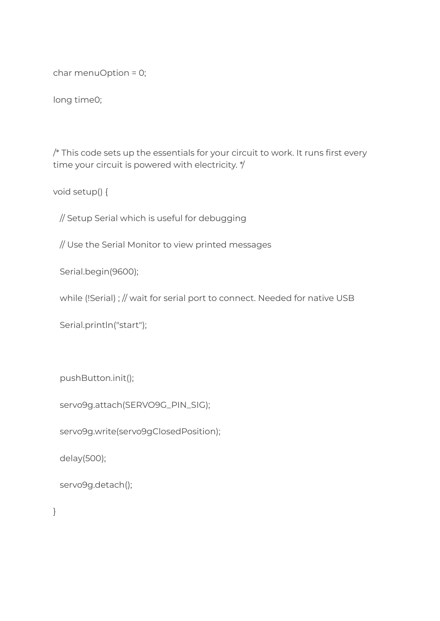char menuOption = 0;

long time0;

/\* This code sets up the essentials for your circuit to work. It runs first every time your circuit is powered with electricity. \*/

void setup() {

// Setup Serial which is useful for debugging

// Use the Serial Monitor to view printed messages

Serial.begin(9600);

while (!Serial) ; // wait for serial port to connect. Needed for native USB

Serial.println("start");

pushButton.init();

servo9g.attach(SERVO9G\_PIN\_SIG);

servo9g.write(servo9gClosedPosition);

delay(500);

```
servo9g.detach();
```
}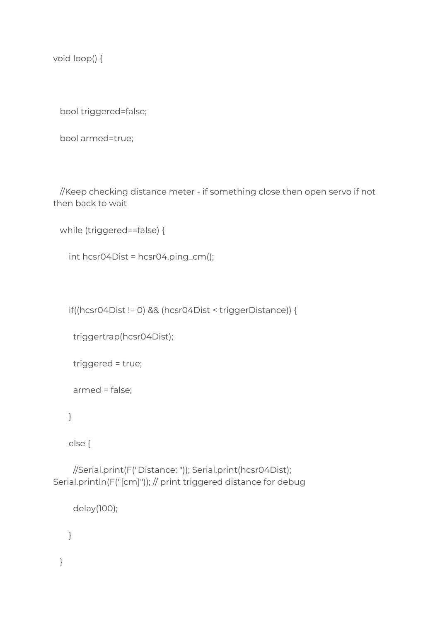void loop() {

bool triggered=false;

```
bool armed=true;
```
//Keep checking distance meter - if something close then open servo if not then back to wait

```
while (triggered==false) {
```

```
int hcsr04Dist = hcsr04.ping_cm();
```
if((hcsr04Dist != 0) && (hcsr04Dist < triggerDistance)) {

```
triggertrap(hcsr04Dist);
```

```
triggered = true;
```

```
armed = false;
```
}

}

else {

//Serial.print(F("Distance: ")); Serial.print(hcsr04Dist); Serial.println(F("[cm]")); // print triggered distance for debug

```
delay(100);
}
```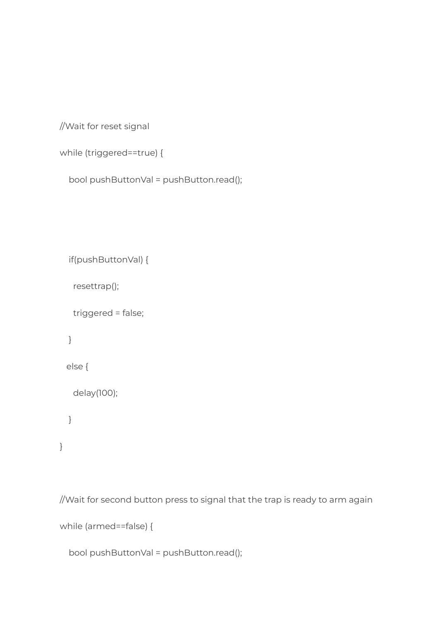```
//Wait for reset signal
```

```
while (triggered==true) {
```

```
bool pushButtonVal = pushButton.read();
```

```
if(pushButtonVal) {
 resettrap();
 triggered = false;
}
else {
 delay(100);
}
```
//Wait for second button press to signal that the trap is ready to arm again

```
while (armed==false) {
```
}

```
bool pushButtonVal = pushButton.read();
```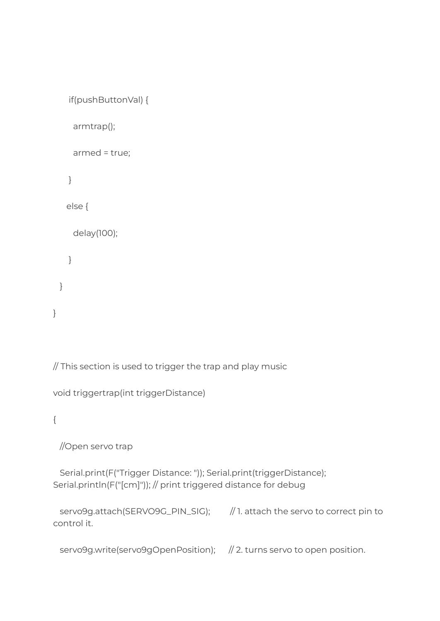```
if(pushButtonVal) {
   armtrap();
   armed = true;
  }
 else {
   delay(100);
  }
}
```
// This section is used to trigger the trap and play music

```
void triggertrap(int triggerDistance)
```
{

}

//Open servo trap

Serial.print(F("Trigger Distance: ")); Serial.print(triggerDistance); Serial.println(F("[cm]")); // print triggered distance for debug

```
servo9g.attach(SERVO9G_PIN_SIG); // 1. attach the servo to correct pin to
control it.
```
servo9g.write(servo9gOpenPosition); // 2. turns servo to open position.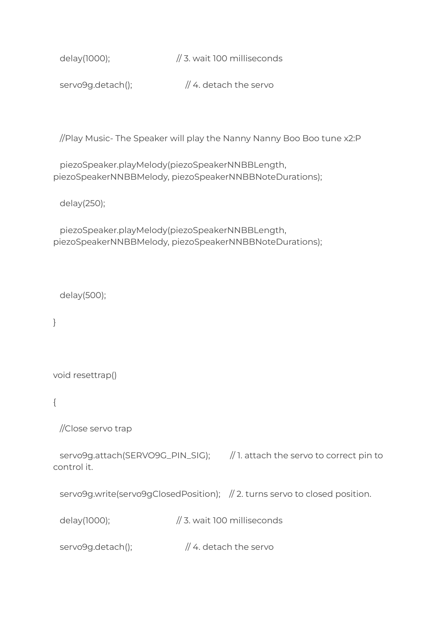delay(1000); // 3. wait 100 milliseconds

servo9g.detach();  $\frac{1}{4}$ . detach the servo

//Play Music- The Speaker will play the Nanny Nanny Boo Boo tune x2:P

piezoSpeaker.playMelody(piezoSpeakerNNBBLength, piezoSpeakerNNBBMelody, piezoSpeakerNNBBNoteDurations);

delay(250);

piezoSpeaker.playMelody(piezoSpeakerNNBBLength, piezoSpeakerNNBBMelody, piezoSpeakerNNBBNoteDurations);

delay(500);

}

void resettrap()

{

//Close servo trap

servo9g.attach(SERVO9G\_PIN\_SIG); // 1. attach the servo to correct pin to control it.

servo9g.write(servo9gClosedPosition); // 2. turns servo to closed position.

delay(1000); // 3. wait 100 milliseconds

servo9g.detach();  $\frac{1}{4}$ . detach the servo